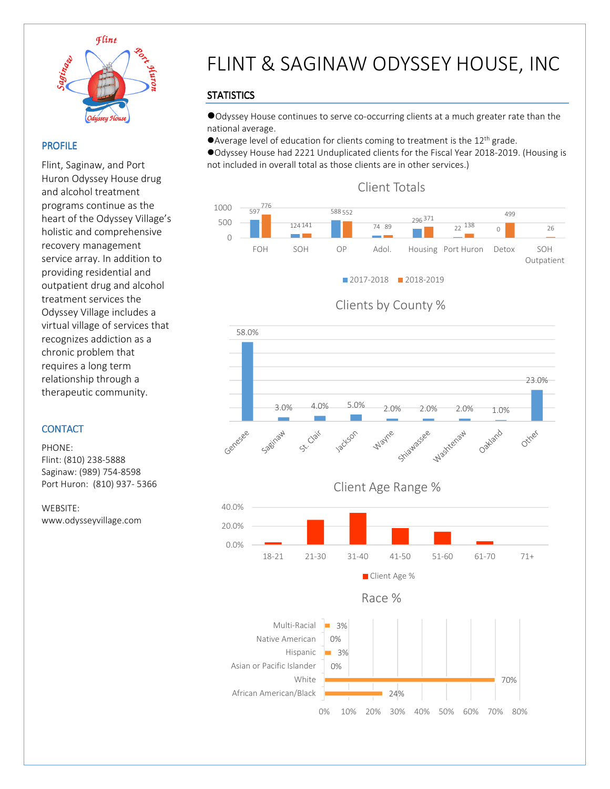

 $\overline{a}$ 

#### PROFILE

Flint, Saginaw, and Port Huron Odyssey House drug and alcohol treatment programs continue as the heart of the Odyssey Village's holistic and comprehensive recovery management service array. In addition to providing residential and outpatient drug and alcohol treatment services the Odyssey Village includes a virtual village of services that recognizes addiction as a chronic problem that requires a long term relationship through a therapeutic community.

### **CONTACT**

PHONE: Flint: (810) 238-5888 Saginaw: (989) 754-8598 Port Huron: (810) 937- 5366

WEBSITE: www.odysseyvillage.com

# FLINT & SAGINAW ODYSSEY HOUSE, INC

## **STATISTICS**

Odyssey House continues to serve co-occurring clients at a much greater rate than the national average.

● Average level of education for clients coming to treatment is the 12<sup>th</sup> grade.

Odyssey House had 2221 Unduplicated clients for the Fiscal Year 2018-2019. (Housing is not included in overall total as those clients are in other services.)



## Clients by County %

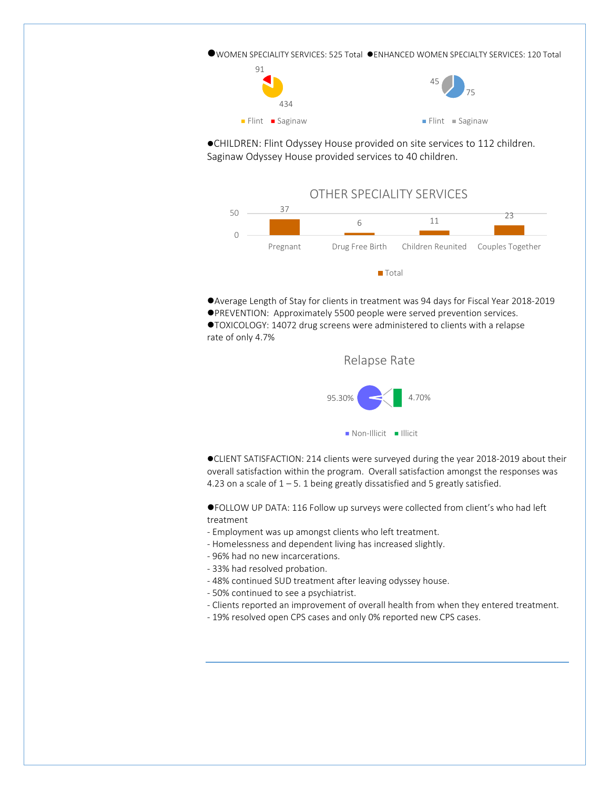WOMEN SPECIALITY SERVICES: 525 Total ENHANCED WOMEN SPECIALTY SERVICES: 120 Total



CHILDREN: Flint Odyssey House provided on site services to 112 children. Saginaw Odyssey House provided services to 40 children.



Average Length of Stay for clients in treatment was 94 days for Fiscal Year 2018-2019

PREVENTION: Approximately 5500 people were served prevention services.

TOXICOLOGY: 14072 drug screens were administered to clients with a relapse rate of only 4.7%



CLIENT SATISFACTION: 214 clients were surveyed during the year 2018-2019 about their overall satisfaction within the program. Overall satisfaction amongst the responses was 4.23 on a scale of  $1 - 5$ . 1 being greatly dissatisfied and 5 greatly satisfied.

FOLLOW UP DATA: 116 Follow up surveys were collected from client's who had left treatment

- Employment was up amongst clients who left treatment.
- Homelessness and dependent living has increased slightly.
- 96% had no new incarcerations.
- 33% had resolved probation.
- 48% continued SUD treatment after leaving odyssey house.
- 50% continued to see a psychiatrist.
- Clients reported an improvement of overall health from when they entered treatment.
- 19% resolved open CPS cases and only 0% reported new CPS cases.